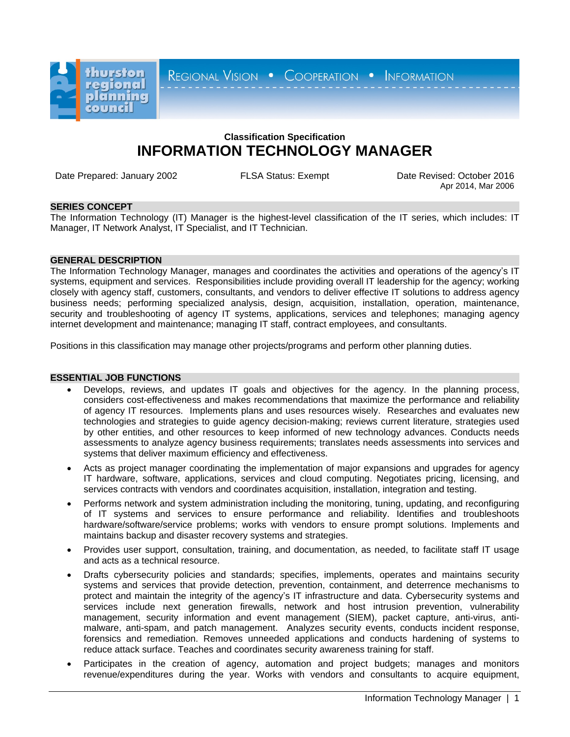

REGIONAL VISION . COOPERATION . INFORMATION

# **Classification Specification INFORMATION TECHNOLOGY MANAGER**

Date Prepared: January 2002 FLSA Status: Exempt Date Revised: October 2016

Apr 2014, Mar 2006

# **SERIES CONCEPT**

The Information Technology (IT) Manager is the highest-level classification of the IT series, which includes: IT Manager, IT Network Analyst, IT Specialist, and IT Technician.

# **GENERAL DESCRIPTION**

The Information Technology Manager, manages and coordinates the activities and operations of the agency's IT systems, equipment and services. Responsibilities include providing overall IT leadership for the agency; working closely with agency staff, customers, consultants, and vendors to deliver effective IT solutions to address agency business needs; performing specialized analysis, design, acquisition, installation, operation, maintenance, security and troubleshooting of agency IT systems, applications, services and telephones; managing agency internet development and maintenance; managing IT staff, contract employees, and consultants.

Positions in this classification may manage other projects/programs and perform other planning duties.

### **ESSENTIAL JOB FUNCTIONS**

- Develops, reviews, and updates IT goals and objectives for the agency. In the planning process, considers cost-effectiveness and makes recommendations that maximize the performance and reliability of agency IT resources. Implements plans and uses resources wisely. Researches and evaluates new technologies and strategies to guide agency decision-making; reviews current literature, strategies used by other entities, and other resources to keep informed of new technology advances. Conducts needs assessments to analyze agency business requirements; translates needs assessments into services and systems that deliver maximum efficiency and effectiveness.
- Acts as project manager coordinating the implementation of major expansions and upgrades for agency IT hardware, software, applications, services and cloud computing. Negotiates pricing, licensing, and services contracts with vendors and coordinates acquisition, installation, integration and testing.
- Performs network and system administration including the monitoring, tuning, updating, and reconfiguring of IT systems and services to ensure performance and reliability. Identifies and troubleshoots hardware/software/service problems; works with vendors to ensure prompt solutions. Implements and maintains backup and disaster recovery systems and strategies.
- Provides user support, consultation, training, and documentation, as needed, to facilitate staff IT usage and acts as a technical resource.
- Drafts cybersecurity policies and standards; specifies, implements, operates and maintains security systems and services that provide detection, prevention, containment, and deterrence mechanisms to protect and maintain the integrity of the agency's IT infrastructure and data. Cybersecurity systems and services include next generation firewalls, network and host intrusion prevention, vulnerability management, security information and event management (SIEM), packet capture, anti-virus, antimalware, anti-spam, and patch management. Analyzes security events, conducts incident response, forensics and remediation. Removes unneeded applications and conducts hardening of systems to reduce attack surface. Teaches and coordinates security awareness training for staff.
- Participates in the creation of agency, automation and project budgets; manages and monitors revenue/expenditures during the year. Works with vendors and consultants to acquire equipment,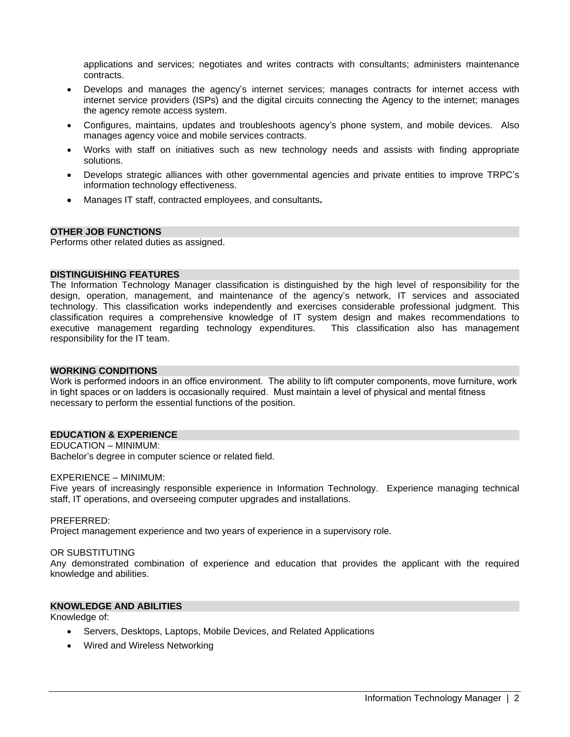applications and services; negotiates and writes contracts with consultants; administers maintenance contracts.

- Develops and manages the agency's internet services; manages contracts for internet access with internet service providers (ISPs) and the digital circuits connecting the Agency to the internet; manages the agency remote access system.
- Configures, maintains, updates and troubleshoots agency's phone system, and mobile devices. Also manages agency voice and mobile services contracts.
- Works with staff on initiatives such as new technology needs and assists with finding appropriate solutions.
- Develops strategic alliances with other governmental agencies and private entities to improve TRPC's information technology effectiveness.
- Manages IT staff, contracted employees, and consultants**.**

#### **OTHER JOB FUNCTIONS**

Performs other related duties as assigned.

#### **DISTINGUISHING FEATURES**

The Information Technology Manager classification is distinguished by the high level of responsibility for the design, operation, management, and maintenance of the agency's network, IT services and associated technology. This classification works independently and exercises considerable professional judgment. This classification requires a comprehensive knowledge of IT system design and makes recommendations to executive management regarding technology expenditures. This classification also has management responsibility for the IT team.

#### **WORKING CONDITIONS**

Work is performed indoors in an office environment. The ability to lift computer components, move furniture, work in tight spaces or on ladders is occasionally required. Must maintain a level of physical and mental fitness necessary to perform the essential functions of the position.

# **EDUCATION & EXPERIENCE**

# EDUCATION – MINIMUM:

Bachelor's degree in computer science or related field.

# EXPERIENCE – MINIMUM:

Five years of increasingly responsible experience in Information Technology. Experience managing technical staff, IT operations, and overseeing computer upgrades and installations.

#### PREFERRED:

Project management experience and two years of experience in a supervisory role.

#### OR SUBSTITUTING

Any demonstrated combination of experience and education that provides the applicant with the required knowledge and abilities.

### **KNOWLEDGE AND ABILITIES**

Knowledge of:

- Servers, Desktops, Laptops, Mobile Devices, and Related Applications
- Wired and Wireless Networking